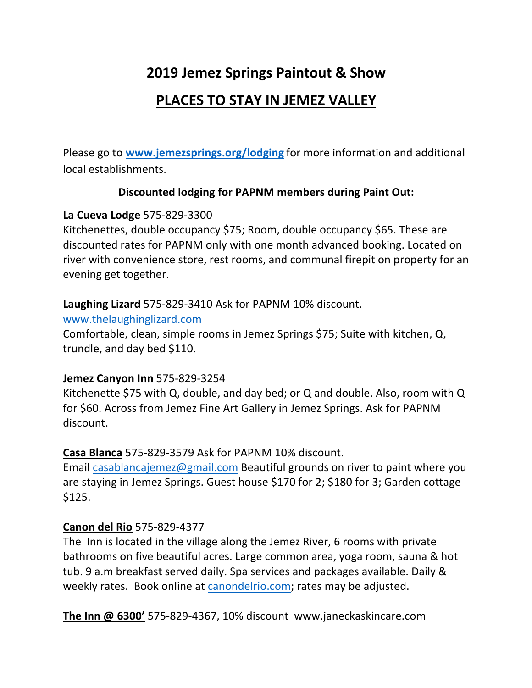# **2019 Jemez Springs Paintout & Show**

## **PLACES TO STAY IN JEMEZ VALLEY**

Please go to **www.jemezsprings.org/lodging** for more information and additional local establishments.

## **Discounted lodging for PAPNM members during Paint Out:**

## **La Cueva Lodge** 575-829-3300

Kitchenettes, double occupancy \$75; Room, double occupancy \$65. These are discounted rates for PAPNM only with one month advanced booking. Located on river with convenience store, rest rooms, and communal firepit on property for an evening get together.

## **Laughing Lizard** 575-829-3410 Ask for PAPNM 10% discount.

www.thelaughinglizard.com

Comfortable, clean, simple rooms in Jemez Springs \$75; Suite with kitchen, Q, trundle, and day bed \$110.

## **Jemez Canyon Inn** 575-829-3254

Kitchenette \$75 with Q, double, and day bed; or Q and double. Also, room with  $Q$ for \$60. Across from Jemez Fine Art Gallery in Jemez Springs. Ask for PAPNM discount.

## **Casa Blanca** 575-829-3579 Ask for PAPNM 10% discount.

Email casablancajemez@gmail.com Beautiful grounds on river to paint where you are staying in Jemez Springs. Guest house  $$170$  for 2;  $$180$  for 3; Garden cottage \$125. 

## **Canon del Rio** 575-829-4377

The Inn is located in the village along the Jemez River, 6 rooms with private bathrooms on five beautiful acres. Large common area, yoga room, sauna & hot tub. 9 a.m breakfast served daily. Spa services and packages available. Daily & weekly rates. Book online at canondelrio.com; rates may be adjusted.

**The Inn @ 6300'** 575-829-4367, 10% discount www.janeckaskincare.com